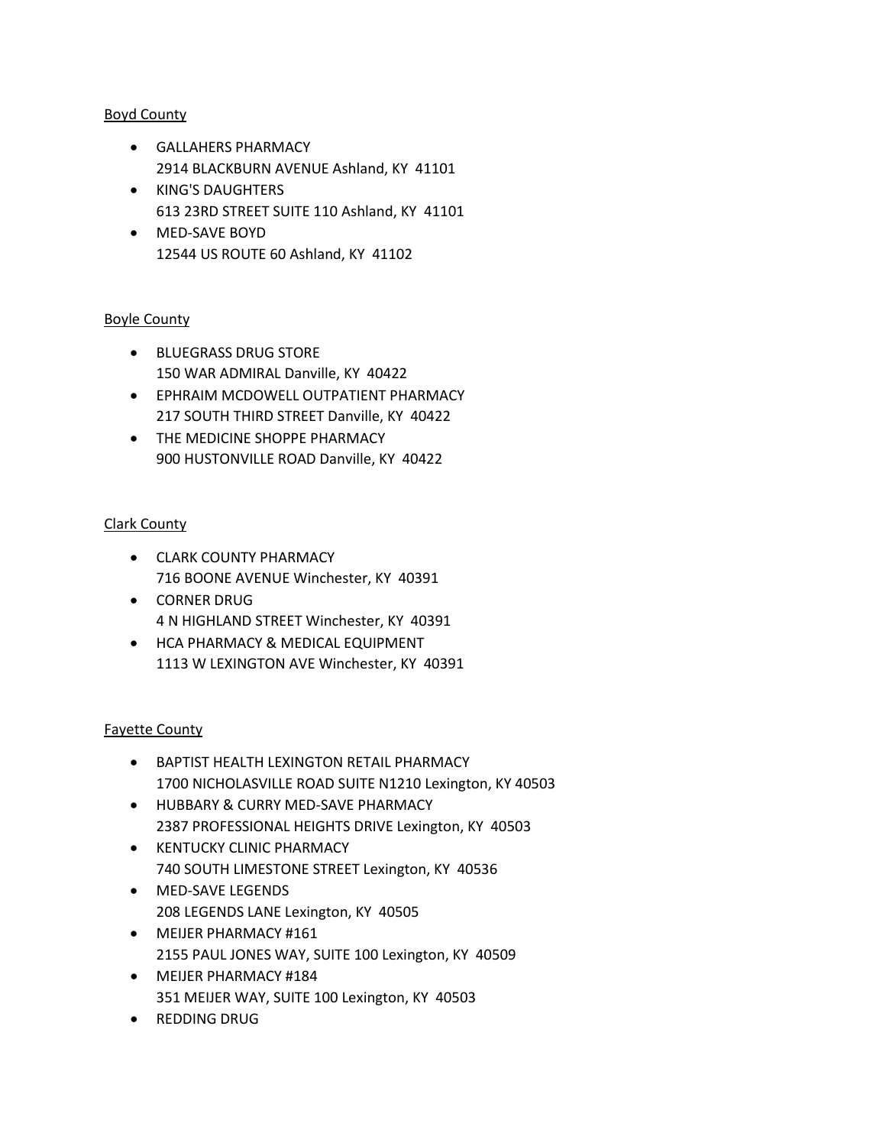## Boyd County

- GALLAHERS PHARMACY 2914 BLACKBURN AVENUE Ashland, KY 41101
- KING'S DAUGHTERS 613 23RD STREET SUITE 110 Ashland, KY 41101
- MED-SAVE BOYD 12544 US ROUTE 60 Ashland, KY 41102

## Boyle County

- BLUEGRASS DRUG STORE 150 WAR ADMIRAL Danville, KY 40422
- EPHRAIM MCDOWELL OUTPATIENT PHARMACY 217 SOUTH THIRD STREET Danville, KY 40422
- THE MEDICINE SHOPPE PHARMACY 900 HUSTONVILLE ROAD Danville, KY 40422

## Clark County

- CLARK COUNTY PHARMACY 716 BOONE AVENUE Winchester, KY 40391
- CORNER DRUG 4 N HIGHLAND STREET Winchester, KY 40391
- HCA PHARMACY & MEDICAL EQUIPMENT 1113 W LEXINGTON AVE Winchester, KY 40391

### Fayette County

- BAPTIST HEALTH LEXINGTON RETAIL PHARMACY 1700 NICHOLASVILLE ROAD SUITE N1210 Lexington, KY 40503
- HUBBARY & CURRY MED-SAVE PHARMACY 2387 PROFESSIONAL HEIGHTS DRIVE Lexington, KY 40503
- KENTUCKY CLINIC PHARMACY 740 SOUTH LIMESTONE STREET Lexington, KY 40536
- MED-SAVE LEGENDS 208 LEGENDS LANE Lexington, KY 40505
- MEIJER PHARMACY #161 2155 PAUL JONES WAY, SUITE 100 Lexington, KY 40509
- MEIJER PHARMACY #184 351 MEIJER WAY, SUITE 100 Lexington, KY 40503
- REDDING DRUG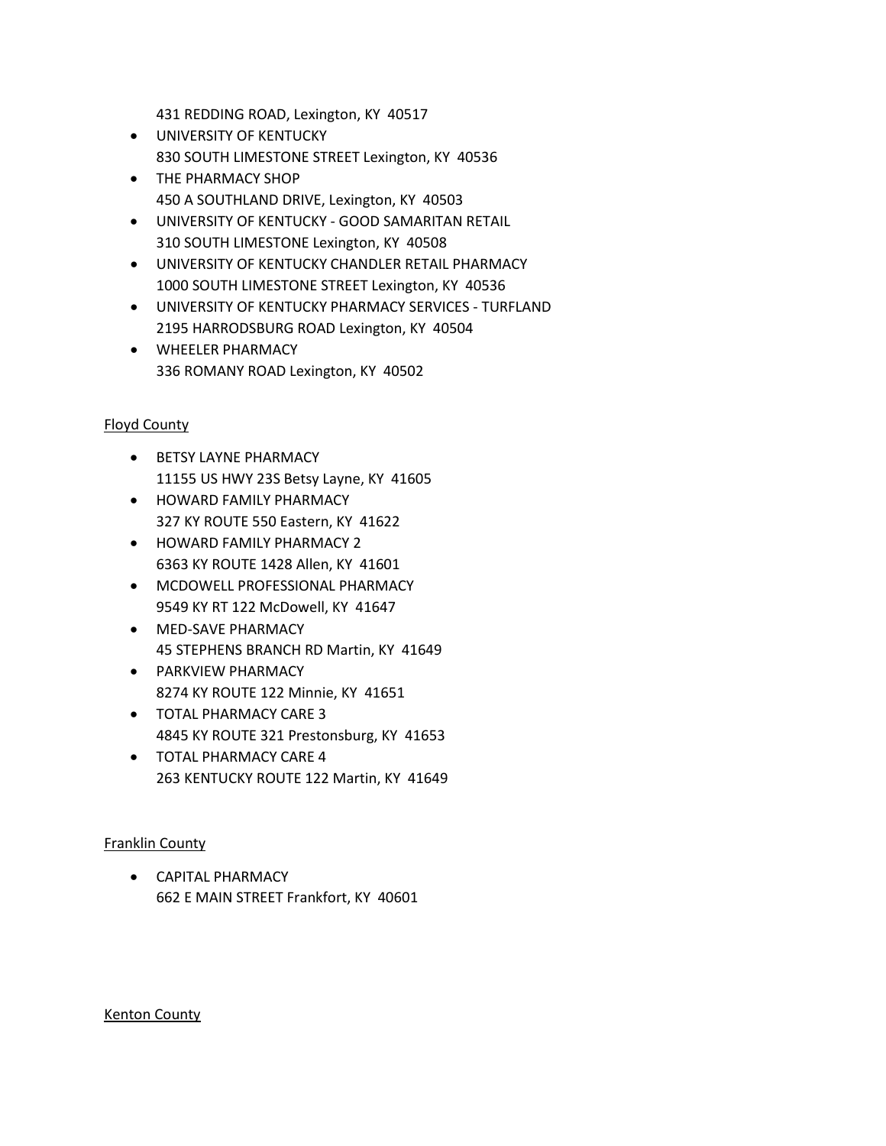431 REDDING ROAD, Lexington, KY 40517

- UNIVERSITY OF KENTUCKY 830 SOUTH LIMESTONE STREET Lexington, KY 40536
- THE PHARMACY SHOP 450 A SOUTHLAND DRIVE, Lexington, KY 40503
- UNIVERSITY OF KENTUCKY GOOD SAMARITAN RETAIL 310 SOUTH LIMESTONE Lexington, KY 40508
- UNIVERSITY OF KENTUCKY CHANDLER RETAIL PHARMACY 1000 SOUTH LIMESTONE STREET Lexington, KY 40536
- UNIVERSITY OF KENTUCKY PHARMACY SERVICES TURFLAND 2195 HARRODSBURG ROAD Lexington, KY 40504
- WHEELER PHARMACY 336 ROMANY ROAD Lexington, KY 40502

# Floyd County

- BETSY LAYNE PHARMACY 11155 US HWY 23S Betsy Layne, KY 41605
- HOWARD FAMILY PHARMACY 327 KY ROUTE 550 Eastern, KY 41622
- HOWARD FAMILY PHARMACY 2 6363 KY ROUTE 1428 Allen, KY 41601
- MCDOWELL PROFESSIONAL PHARMACY 9549 KY RT 122 McDowell, KY 41647
- MED-SAVE PHARMACY 45 STEPHENS BRANCH RD Martin, KY 41649
- PARKVIEW PHARMACY 8274 KY ROUTE 122 Minnie, KY 41651
- TOTAL PHARMACY CARE 3 4845 KY ROUTE 321 Prestonsburg, KY 41653
- TOTAL PHARMACY CARE 4 263 KENTUCKY ROUTE 122 Martin, KY 41649

# Franklin County

• CAPITAL PHARMACY 662 E MAIN STREET Frankfort, KY 40601

### Kenton County